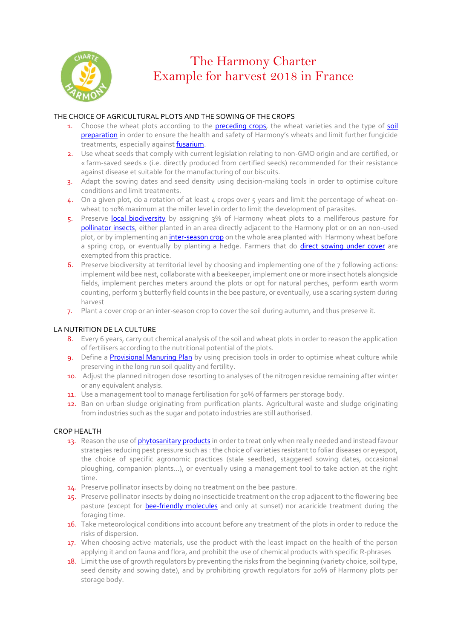

# The Harmony Charter Example for harvest 2018 in France

# THE CHOICE OF AGRICULTURAL PLOTS AND THE SOWING OF THE CROPS

- 1. Choose the wheat plots according to the [preceding](#page-2-0) crops, the wheat varieties and the type of soil [preparation](#page-2-0) in order to ensure the health and safety of Harmony's wheats and limit further fungicide treatments, especially against **fusarium**.
- 2. Use wheat seeds that comply with current legislation relating to non-GMO origin and are certified, or « farm-saved seeds » (i.e. directly produced from certified seeds) recommended for their resistance against disease et suitable for the manufacturing of our biscuits.
- 3. Adapt the sowing dates and seed density using decision-making tools in order to optimise culture conditions and limit treatments.
- 4. On a given plot, do a rotation of at least 4 crops over 5 years and limit the percentage of wheat-onwheat to 10% maximum at the miller level in order to limit the development of parasites.
- 5. Preserve [local biodiversity](#page-2-2) by assigning 3% of Harmony wheat plots to a melliferous pasture for [pollinator insects,](#page-2-3) either planted in an area directly adjacent to the Harmony plot or on an non-used plot, or by implementing a[n inter-season crop](#page-2-4) on the whole area planted with Harmony wheat before a spring crop, or eventually by planting a hedge. Farmers that do *[direct sowing under cover](#page-2-5)* are exempted from this practice.
- 6. Preserve biodiversity at territorial level by choosing and implementing one of the 7 following actions: implement wild bee nest, collaborate with a beekeeper, implement one or more insect hotels alongside fields, implement perches meters around the plots or opt for natural perches, perform earth worm counting, perform 3 butterfly field counts in the bee pasture, or eventually, use a scaring system during harvest
- 7. Plant a cover crop or an inter-season crop to cover the soil during autumn, and thus preserve it.

# LA NUTRITION DE LA CULTURE

- 8. Every 6 years, carry out chemical analysis of the soil and wheat plots in order to reason the application of fertilisers according to the nutritional potential of the plots.
- 9. Define a [Provisional Manuring Plan](#page-2-6) by using precision tools in order to optimise wheat culture while preserving in the long run soil quality and fertility.
- 10. Adjust the planned nitrogen dose resorting to analyses of the nitrogen residue remaining after winter or any equivalent analysis.
- 11. Use a management tool to manage fertilisation for 30% of farmers per storage body.
- 12. Ban on urban sludge originating from purification plants. Agricultural waste and sludge originating from industries such as the sugar and potato industries are still authorised.

# CROP HEALTH

- 13. Reason the use o[f phytosanitary products](#page-2-7) in order to treat only when really needed and instead favour strategies reducing pest pressure such as : the choice of varieties resistant to foliar diseases or eyespot, the choice of specific agronomic practices (stale seedbed, staggered sowing dates, occasional ploughing, companion plants…), or eventually using a management tool to take action at the right time.
- 14. Preserve pollinator insects by doing no treatment on the bee pasture.
- 15. Preserve pollinator insects by doing no insecticide treatment on the crop adjacent to the flowering bee pasture (except for [bee-friendly molecules](#page-3-0) and only at sunset) nor acaricide treatment during the foraging time.
- 16. Take meteorological conditions into account before any treatment of the plots in order to reduce the risks of dispersion.
- 17. When choosing active materials, use the product with the least impact on the health of the person applying it and on fauna and flora, and prohibit the use of chemical products with specific R-phrases
- 18. Limit the use of growth regulators by preventing the risks from the beginning (variety choice, soil type, seed density and sowing date), and by prohibiting growth regulators for 20% of Harmony plots per storage body.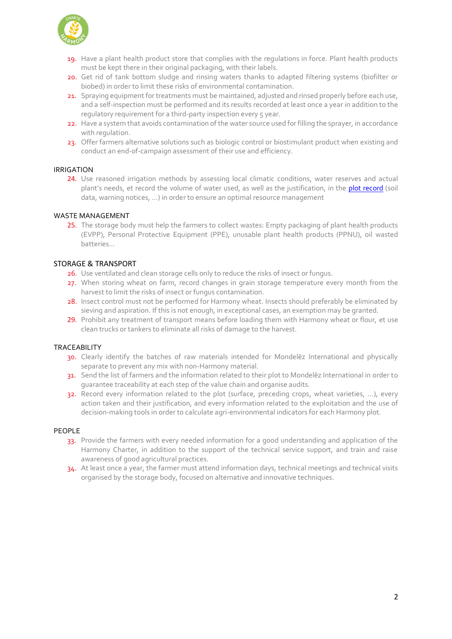

- 19. Have a plant health product store that complies with the regulations in force. Plant health products must be kept there in their original packaging, with their labels.
- 20. Get rid of tank bottom sludge and rinsing waters thanks to adapted filtering systems (biofilter or biobed) in order to limit these risks of environmental contamination.
- 21. Spraying equipment for treatments must be maintained, adjusted and rinsed properly before each use, and a self-inspection must be performed and its results recorded at least once a year in addition to the requlatory requirement for a third-party inspection every 5 year.
- 22. Have a system that avoids contamination of the water source used for filling the sprayer, in accordance with regulation.
- 23. Offer farmers alternative solutions such as biologic control or biostimulant product when existing and conduct an end-of-campaign assessment of their use and efficiency.

# IRRIGATION

24. Use reasoned irrigation methods by assessing local climatic conditions, water reserves and actual plant's needs, et record the volume of water used, as well as the justification, in the **[plot record](#page-3-1)** (soil data, warning notices, …) in order to ensure an optimal resource management

#### WASTE MANAGEMENT

25. The storage body must help the farmers to collect wastes: Empty packaging of plant health products (EVPP), Personal Protective Equipment (PPE), unusable plant health products (PPNU), oil wasted batteries…

# STORAGE & TRANSPORT

- 26. Use ventilated and clean storage cells only to reduce the risks of insect or fungus.
- 27. When storing wheat on farm, record changes in grain storage temperature every month from the harvest to limit the risks of insect or fungus contamination.
- 28. Insect control must not be performed for Harmony wheat. Insects should preferably be eliminated by sieving and aspiration. If this is not enough, in exceptional cases, an exemption may be granted.
- 29. Prohibit any treatment of transport means before loading them with Harmony wheat or flour, et use clean trucks or tankers to eliminate all risks of damage to the harvest.

# TRACEABILITY

- 30. Clearly identify the batches of raw materials intended for Mondelez International and physically separate to prevent any mix with non-Harmony material.
- 31. Send the list of farmers and the information related to their plot to Mondelez International in order to guarantee traceability at each step of the value chain and organise audits.
- 32. Record every information related to the plot (surface, preceding crops, wheat varieties, …), every action taken and their justification, and every information related to the exploitation and the use of decision-making tools in order to calculate agri-environmental indicators for each Harmony plot.

#### PEOPLE

- 33. Provide the farmers with every needed information for a good understanding and application of the Harmony Charter, in addition to the support of the technical service support, and train and raise awareness of good agricultural practices.
- 34. At least once a year, the farmer must attend information days, technical meetings and technical visits organised by the storage body, focused on alternative and innovative techniques.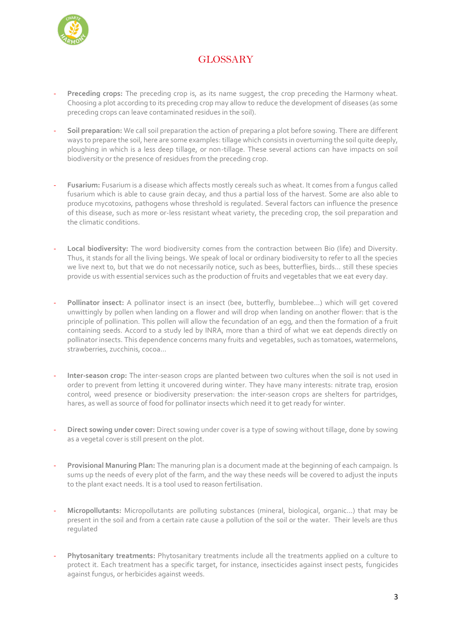

# <span id="page-2-3"></span><span id="page-2-1"></span>**GLOSSARY**

- <span id="page-2-0"></span>Preceding crops: The preceding crop is, as its name suggest, the crop preceding the Harmony wheat. Choosing a plot according to its preceding crop may allow to reduce the development of diseases (as some preceding crops can leave contaminated residues in the soil).
- **Soil preparation:** We call soil preparation the action of preparing a plot before sowing. There are different ways to prepare the soil, here are some examples: tillage which consists in overturning the soil quite deeply, ploughing in which is a less deep tillage, or non-tillage. These several actions can have impacts on soil biodiversity or the presence of residues from the preceding crop.
- **Fusarium:** Fusarium is a disease which affects mostly cereals such as wheat. It comes from a fungus called fusarium which is able to cause grain decay, and thus a partial loss of the harvest. Some are also able to produce mycotoxins, pathogens whose threshold is regulated. Several factors can influence the presence of this disease, such as more or-less resistant wheat variety, the preceding crop, the soil preparation and the climatic conditions.
- <span id="page-2-2"></span>Local biodiversity: The word biodiversity comes from the contraction between Bio (life) and Diversity. Thus, it stands for all the living beings. We speak of local or ordinary biodiversity to refer to all the species we live next to, but that we do not necessarily notice, such as bees, butterflies, birds… still these species provide us with essential services such as the production of fruits and vegetables that we eat every day.
- Pollinator insect: A pollinator insect is an insect (bee, butterfly, bumblebee...) which will get covered unwittingly by pollen when landing on a flower and will drop when landing on another flower: that is the principle of pollination. This pollen will allow the fecundation of an egg, and then the formation of a fruit containing seeds. Accord to a study led by INRA, more than a third of what we eat depends directly on pollinator insects. This dependence concerns many fruits and vegetables, such as tomatoes, watermelons, strawberries, zucchinis, cocoa…
- <span id="page-2-5"></span><span id="page-2-4"></span>- **Inter-season crop:** The inter-season crops are planted between two cultures when the soil is not used in order to prevent from letting it uncovered during winter. They have many interests: nitrate trap, erosion control, weed presence or biodiversity preservation: the inter-season crops are shelters for partridges, hares, as well as source of food for pollinator insects which need it to get ready for winter.
- <span id="page-2-6"></span>- **Direct sowing under cover:** Direct sowing under cover is a type of sowing without tillage, done by sowing as a vegetal cover is still present on the plot.
- **Provisional Manuring Plan:** The manuring plan is a document made at the beginning of each campaign. Is sums up the needs of every plot of the farm, and the way these needs will be covered to adjust the inputs to the plant exact needs. It is a tool used to reason fertilisation.
- <span id="page-2-7"></span>- **Micropollutants:** Micropollutants are polluting substances (mineral, biological, organic…) that may be present in the soil and from a certain rate cause a pollution of the soil or the water. Their levels are thus regulated
- **Phytosanitary treatments:** Phytosanitary treatments include all the treatments applied on a culture to protect it. Each treatment has a specific target, for instance, insecticides against insect pests, fungicides against fungus, or herbicides against weeds.